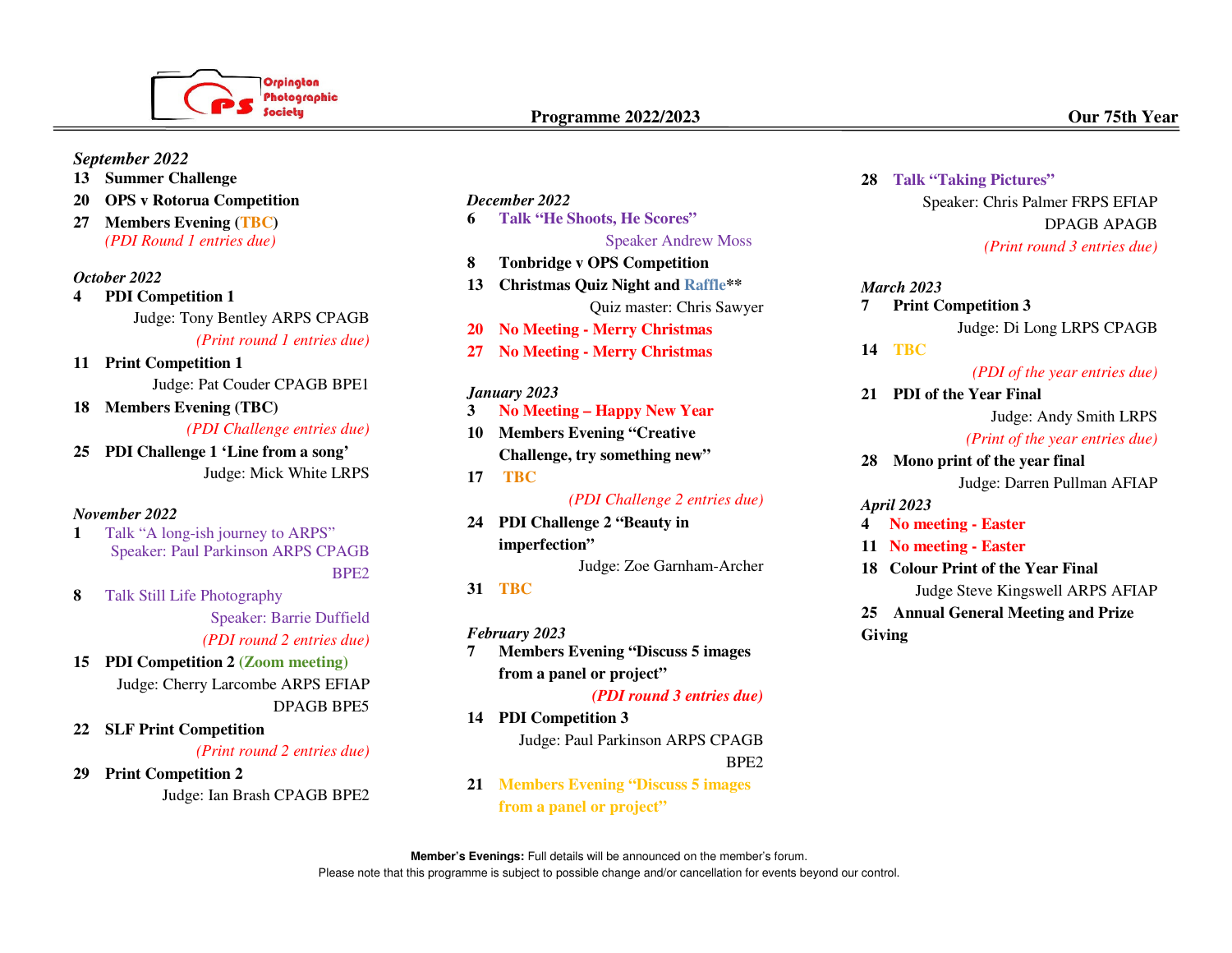

### *September 2022*

- **13 Summer Challenge**
- **20 OPS v Rotorua Competition**
- **27 Members Evening (TBC)**  *(PDI Round 1 entries due)*

#### *October 2022*

- **4 PDI Competition 1**  Judge: Tony Bentley ARPS CPAGB *(Print round 1 entries due)*
- **11 Print Competition 1**  Judge: Pat Couder CPAGB BPE1
- **18 Members Evening (TBC)**

*(PDI Challenge entries due)* 

**25 PDI Challenge 1 'Line from a song'**  Judge: Mick White LRPS

#### *November 2022*

- **1** Talk "A long-ish journey to ARPS" Speaker: Paul Parkinson ARPS CPAGB BPE2
- **8** Talk Still Life Photography

 Speaker: Barrie Duffield *(PDI round 2 entries due)* 

- **15 PDI Competition 2 (Zoom meeting)**  Judge: Cherry Larcombe ARPS EFIAP DPAGB BPE5
- **22 SLF Print Competition**  *(Print round 2 entries due)*
- **29 Print Competition 2**  Judge: Ian Brash CPAGB BPE2

# *December 2022*

**6 Talk "He Shoots, He Scores"**

# Speaker Andrew Moss

- **8 Tonbridge v OPS Competition**
- **13 Christmas Quiz Night and Raffle\*\*** Quiz master: Chris Sawyer
- **20 No Meeting Merry Christmas**
- **27 No Meeting Merry Christmas**

#### *January 2023*

- **3 No Meeting Happy New Year**
- **10 Members Evening "Creative Challenge, try something new"**
- **17 TBC**

 *(PDI Challenge 2 entries due)*

**24 PDI Challenge 2 "Beauty in imperfection"** 

Judge: Zoe Garnham-Archer

#### **31 TBC**

- *February 2023*
- **7 Members Evening "Discuss 5 images from a panel or project"**

*(PDI round 3 entries due)*

- **14 PDI Competition 3**  Judge: Paul Parkinson ARPS CPAGB BPE2
- **21 Members Evening "Discuss 5 images from a panel or project"**

#### **28 Talk "Taking Pictures"**

Speaker: Chris Palmer FRPS EFIAP DPAGB APAGB *(Print round 3 entries due)* 

# *March 2023*  **7 Print Competition 3**

Judge: Di Long LRPS CPAGB

**14 TBC** 

#### *(PDI of the year entries due)*

**21 PDI of the Year Final** 

Judge: Andy Smith LRPS

#### *(Print of the year entries due)*

**28 Mono print of the year final**  Judge: Darren Pullman AFIAP

*April 2023* 

**4 No meeting - Easter**

- **11 No meeting Easter**
- **18 Colour Print of the Year Final**  Judge Steve Kingswell ARPS AFIAP
- **25 Annual General Meeting and Prize Giving**

**Member's Evenings:** Full details will be announced on the member's forum. Please note that this programme is subject to possible change and/or cancellation for events beyond our control.